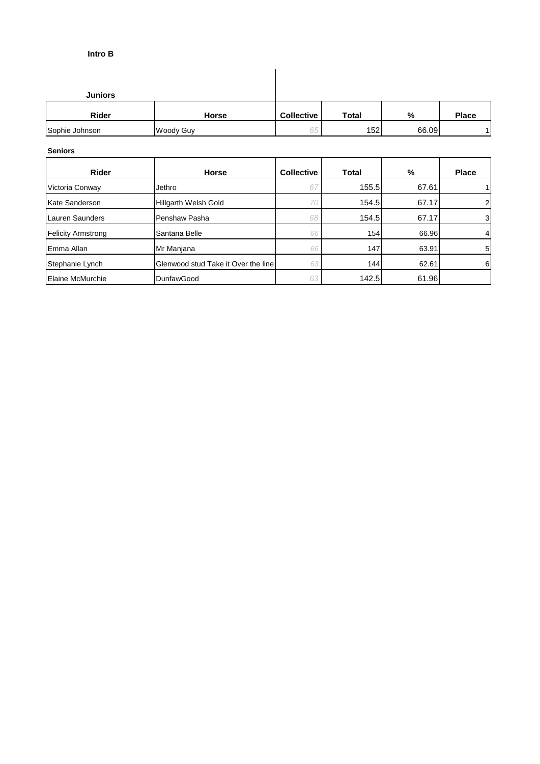## **Intro B**

| <b>Juniors</b> |                  |                   |                  |       |              |
|----------------|------------------|-------------------|------------------|-------|--------------|
| <b>Rider</b>   | <b>Horse</b>     | <b>Collective</b> | <b>Total</b>     | %     | <b>Place</b> |
| Sophie Johnson | <b>Woody Guy</b> | 65                | 152 <sub>1</sub> | 66.09 |              |

 $\overline{\phantom{a}}$ 

## **Seniors**

| <b>Rider</b>              | <b>Horse</b>                        | <b>Collective</b> | Total | %     | <b>Place</b>   |
|---------------------------|-------------------------------------|-------------------|-------|-------|----------------|
| Victoria Conway           | Jethro                              | 67                | 155.5 | 67.61 |                |
| Kate Sanderson            | Hillgarth Welsh Gold                | 70                | 154.5 | 67.17 | $\overline{2}$ |
| Lauren Saunders           | Penshaw Pasha                       | 68                | 154.5 | 67.17 | 3              |
| <b>Felicity Armstrong</b> | Santana Belle                       | 66                | 154   | 66.96 | 4              |
| lEmma Allan               | Mr Manjana                          | 66                | 147   | 63.91 | 5              |
| Stephanie Lynch           | Glenwood stud Take it Over the line | 63                | 144   | 62.61 | 6              |
| <b>Elaine McMurchie</b>   | DunfawGood                          | 63                | 142.5 | 61.96 |                |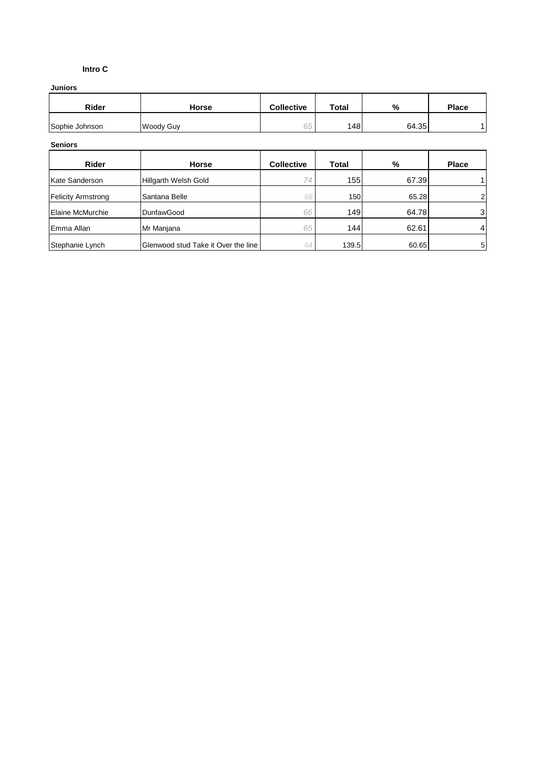## **Intro C**

## **Juniors**

| <b>Rider</b>   | <b>Horse</b> | <b>Collective</b> | <b>Total</b> | %     | <b>Place</b> |
|----------------|--------------|-------------------|--------------|-------|--------------|
| Sophie Johnson | Woody Guy    | 65                | 148          | 64.35 |              |

#### **Seniors**

| Rider                     | <b>Horse</b>                        | <b>Collective</b> | Total | %     | <b>Place</b>   |
|---------------------------|-------------------------------------|-------------------|-------|-------|----------------|
| Kate Sanderson            | Hillgarth Welsh Gold                | 74                | 155   | 67.39 |                |
| <b>Felicity Armstrong</b> | Santana Belle                       | 68                | 150   | 65.28 | 21             |
| Elaine McMurchie          | <b>DunfawGood</b>                   | 66                | 149   | 64.78 | 3              |
| Emma Allan                | Mr Manjana                          | 65                | 144   | 62.61 | 4              |
| Stephanie Lynch           | Glenwood stud Take it Over the line | 64                | 139.5 | 60.65 | 5 <sup>1</sup> |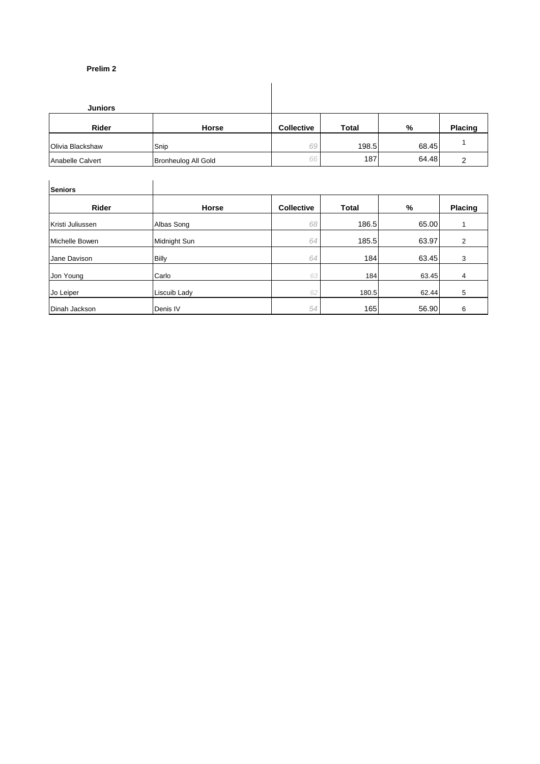## **Prelim 2**

| <b>Juniors</b>   |       |                   |              |       |                |
|------------------|-------|-------------------|--------------|-------|----------------|
| <b>Rider</b>     | Horse | <b>Collective</b> | <b>Total</b> | %     | <b>Placing</b> |
|                  |       |                   |              |       |                |
| Olivia Blackshaw | Snip  | 69                | 198.5        | 68.45 |                |

| <b>Seniors</b>   |              |                   |              |       |         |
|------------------|--------------|-------------------|--------------|-------|---------|
| <b>Rider</b>     | <b>Horse</b> | <b>Collective</b> | <b>Total</b> | %     | Placing |
| Kristi Juliussen | Albas Song   | 68                | 186.5        | 65.00 |         |
| Michelle Bowen   | Midnight Sun | 64                | 185.5        | 63.97 | 2       |
| Jane Davison     | <b>Billy</b> | 64                | 184          | 63.45 | 3       |
| Jon Young        | Carlo        | 63                | 184          | 63.45 | 4       |
| Jo Leiper        | Liscuib Lady | 62                | 180.5        | 62.44 | 5       |
| Dinah Jackson    | Denis IV     | 54                | 165          | 56.90 | 6       |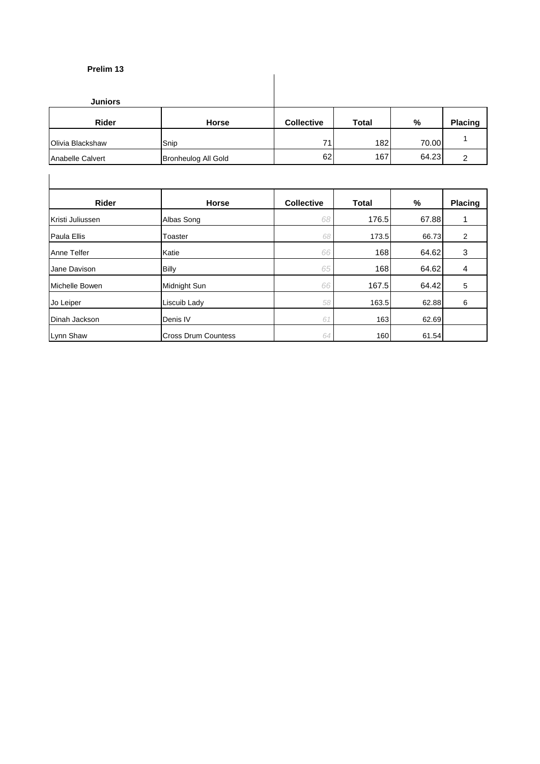## **Prelim 13**

| .                |                            |                   |       |       |                |
|------------------|----------------------------|-------------------|-------|-------|----------------|
| <b>Juniors</b>   |                            |                   |       |       |                |
| <b>Rider</b>     | <b>Horse</b>               | <b>Collective</b> | Total | %     | <b>Placing</b> |
| Olivia Blackshaw | Snip                       | 71                | 182   | 70.00 |                |
| Anabelle Calvert | <b>Bronheulog All Gold</b> | 62                | 167   | 64.23 | ົ              |

| <b>Rider</b>     | <b>Horse</b>               | <b>Collective</b> | <b>Total</b> | %     | Placing |
|------------------|----------------------------|-------------------|--------------|-------|---------|
| Kristi Juliussen | Albas Song                 | 68                | 176.5        | 67.88 |         |
| Paula Ellis      | Toaster                    | 68                | 173.5        | 66.73 | 2       |
| Anne Telfer      | Katie                      | 66                | 168          | 64.62 | 3       |
| Jane Davison     | <b>Billy</b>               | 65                | 168          | 64.62 | 4       |
| Michelle Bowen   | Midnight Sun               | 66                | 167.5        | 64.42 | 5       |
| Jo Leiper        | Liscuib Lady               | 58                | 163.5        | 62.88 | 6       |
| Dinah Jackson    | Denis IV                   | 61                | 163          | 62.69 |         |
| Lynn Shaw        | <b>Cross Drum Countess</b> | 64                | 160          | 61.54 |         |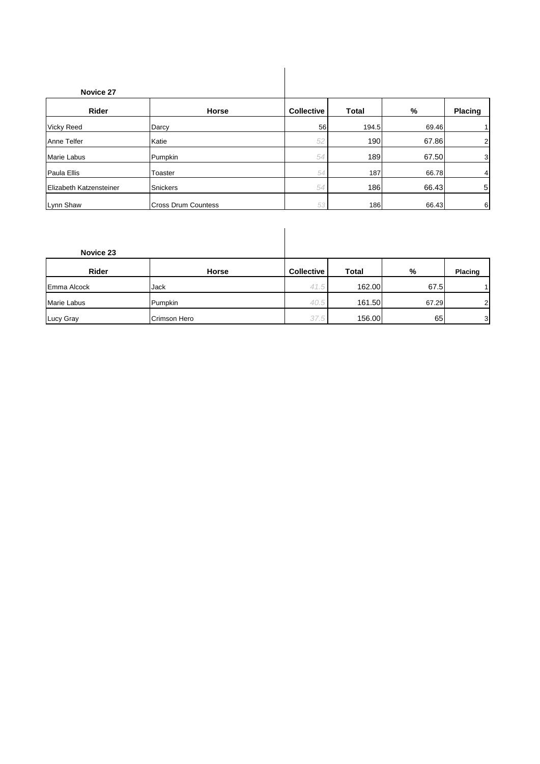| Novice 27               |                            |                   |              |       |                |
|-------------------------|----------------------------|-------------------|--------------|-------|----------------|
| Rider                   | <b>Horse</b>               | <b>Collective</b> | <b>Total</b> | %     | Placing        |
| <b>Vicky Reed</b>       | Darcy                      | 56                | 194.5        | 69.46 | 1              |
| Anne Telfer             | Katie                      | 52                | 190          | 67.86 | $\overline{2}$ |
| Marie Labus             | Pumpkin                    | 54                | 189          | 67.50 | 3              |
| Paula Ellis             | Toaster                    | 54                | 187          | 66.78 | 4              |
| Elizabeth Katzensteiner | <b>Snickers</b>            | 54                | 186          | 66.43 | 5              |
| Lynn Shaw               | <b>Cross Drum Countess</b> | 53                | 186          | 66.43 | 6              |

| Novice 23   |              |                   |              |       |                |
|-------------|--------------|-------------------|--------------|-------|----------------|
| Rider       | Horse        | <b>Collective</b> | <b>Total</b> | %     | <b>Placing</b> |
| Emma Alcock | Jack         | 41.5              | 162.00       | 67.5  | 1              |
| Marie Labus | Pumpkin      | 40.5              | 161.50       | 67.29 | $\overline{2}$ |
| Lucy Gray   | Crimson Hero | 37.5              | 156.00       | 65    | 3              |